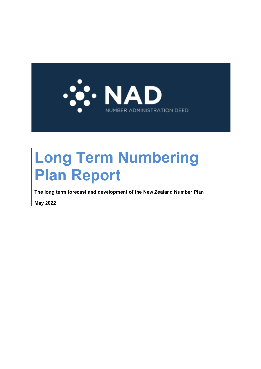

# **Long Term Numbering Plan Report**

**The long term forecast and development of the New Zealand Number Plan**

**May 2022**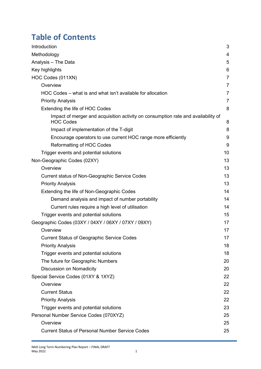# **Table of Contents**

| Introduction                                                                                          | 3              |
|-------------------------------------------------------------------------------------------------------|----------------|
| Methodology                                                                                           | 4              |
| Analysis - The Data                                                                                   | 5              |
| Key highlights                                                                                        | 6              |
| HOC Codes (011XN)                                                                                     | $\overline{7}$ |
| Overview                                                                                              | $\overline{7}$ |
| HOC Codes – what is and what isn't available for allocation                                           | $\overline{7}$ |
| <b>Priority Analysis</b>                                                                              | $\overline{7}$ |
| Extending the life of HOC Codes                                                                       | 8              |
| Impact of merger and acquisition activity on consumption rate and availability of<br><b>HOC Codes</b> | 8              |
| Impact of implementation of the T-digit                                                               | 8              |
| Encourage operators to use current HOC range more efficiently                                         | 9              |
| <b>Reformatting of HOC Codes</b>                                                                      | 9              |
| Trigger events and potential solutions                                                                | 10             |
| Non-Geographic Codes (02XY)                                                                           | 13             |
| Overview                                                                                              | 13             |
| <b>Current status of Non-Geographic Service Codes</b>                                                 | 13             |
| <b>Priority Analysis</b>                                                                              | 13             |
| Extending the life of Non-Geographic Codes                                                            | 14             |
| Demand analysis and impact of number portability                                                      | 14             |
| Current rules require a high level of utilisation                                                     | 14             |
| Trigger events and potential solutions                                                                | 15             |
| Geographic Codes (03XY / 04XY / 06XY / 07XY / 09XY)                                                   | 17             |
| Overview                                                                                              | 17             |
| <b>Current Status of Geographic Service Codes</b>                                                     | 17             |
| <b>Priority Analysis</b>                                                                              | 18             |
| Trigger events and potential solutions                                                                | 18             |
| The future for Geographic Numbers                                                                     | 20             |
| <b>Discussion on Nomadicity</b>                                                                       | 20             |
| Special Service Codes (01XY & 1XYZ)                                                                   | 22             |
| Overview                                                                                              | 22             |
| <b>Current Status</b>                                                                                 | 22             |
| <b>Priority Analysis</b>                                                                              | 22             |
| Trigger events and potential solutions                                                                | 23             |
| Personal Number Service Codes (070XYZ)                                                                | 25             |
| Overview                                                                                              | 25             |
| <b>Current Status of Personal Number Service Codes</b>                                                | 25             |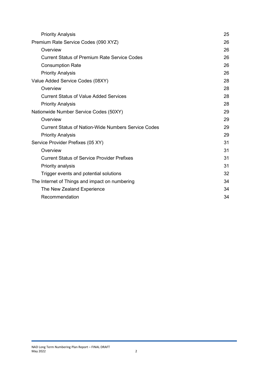| Premium Rate Service Codes (090 XYZ)<br>26<br>Overview<br>26<br><b>Current Status of Premium Rate Service Codes</b><br>26<br><b>Consumption Rate</b><br>26<br>26<br><b>Priority Analysis</b> |
|----------------------------------------------------------------------------------------------------------------------------------------------------------------------------------------------|
|                                                                                                                                                                                              |
|                                                                                                                                                                                              |
|                                                                                                                                                                                              |
|                                                                                                                                                                                              |
|                                                                                                                                                                                              |
| Value Added Service Codes (08XY)<br>28                                                                                                                                                       |
| Overview<br>28                                                                                                                                                                               |
| <b>Current Status of Value Added Services</b><br>28                                                                                                                                          |
| 28<br><b>Priority Analysis</b>                                                                                                                                                               |
| 29<br>Nationwide Number Service Codes (50XY)                                                                                                                                                 |
| Overview<br>29                                                                                                                                                                               |
| <b>Current Status of Nation-Wide Numbers Service Codes</b><br>29                                                                                                                             |
| 29<br><b>Priority Analysis</b>                                                                                                                                                               |
| Service Provider Prefixes (05 XY)<br>31                                                                                                                                                      |
| Overview<br>31                                                                                                                                                                               |
| 31<br><b>Current Status of Service Provider Prefixes</b>                                                                                                                                     |
| 31<br>Priority analysis                                                                                                                                                                      |
| 32<br>Trigger events and potential solutions                                                                                                                                                 |
| The Internet of Things and impact on numbering<br>34                                                                                                                                         |
| The New Zealand Experience<br>34                                                                                                                                                             |
| Recommendation<br>34                                                                                                                                                                         |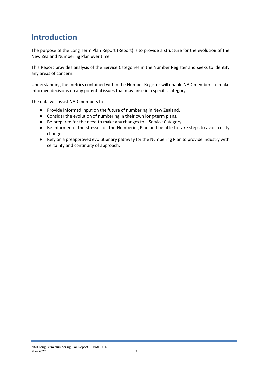### <span id="page-3-0"></span>**Introduction**

The purpose of the Long Term Plan Report (Report) is to provide a structure for the evolution of the New Zealand Numbering Plan over time.

This Report provides analysis of the Service Categories in the Number Register and seeks to identify any areas of concern.

Understanding the metrics contained within the Number Register will enable NAD members to make informed decisions on any potential issues that may arise in a specific category.

The data will assist NAD members to:

- Provide informed input on the future of numbering in New Zealand.
- Consider the evolution of numbering in their own long-term plans.
- Be prepared for the need to make any changes to a Service Category.
- Be informed of the stresses on the Numbering Plan and be able to take steps to avoid costly change.
- Rely on a preapproved evolutionary pathway for the Numbering Plan to provide industry with certainty and continuity of approach.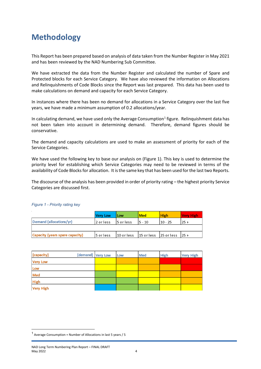## <span id="page-4-0"></span>**Methodology**

This Report has been prepared based on analysis of data taken from the Number Register in May 2021 and has been reviewed by the NAD Numbering Sub Committee.

We have extracted the data from the Number Register and calculated the number of Spare and Protected blocks for each Service Category. We have also reviewed the information on Allocations and Relinquishments of Code Blocks since the Report was last prepared. This data has been used to make calculations on demand and capacity for each Service Category.

In instances where there has been no demand for allocations in a Service Category over the last five years, we have made a minimum assumption of 0.2 allocations/year.

In calculating demand, we have used only the Average Consumption<sup>[1](#page-4-1)</sup> figure. Relinquishment data has not been taken into account in determining demand. Therefore, demand figures should be conservative.

The demand and capacity calculations are used to make an assessment of priority for each of the Service Categories.

We have used the following key to base our analysis on (Figure 1). This key is used to determine the priority level for establishing which Service Categories may need to be reviewed in terms of the availability of Code Blocks for allocation. It is the same key that has been used for the last two Reports.

The discourse of the analysis has been provided in order of priority rating – the highest priority Service Categories are discussed first.

|                                 | <b>Very Low</b> | Low                            | l Med   | <b>High</b> | Very High |
|---------------------------------|-----------------|--------------------------------|---------|-------------|-----------|
| Demand (allocations/yr)         | 2 or less       | 15 or less                     | I5 - 10 | 10 - 25     | l 25 +    |
|                                 |                 |                                |         |             |           |
| Capacity (years spare capacity) | l5 or less.     | 10 orless 15 orless 125 orless |         |             | $125 +$   |

#### *Figure 1 - Priority rating key*

| [capacity]      | [demand] Very Low | Low | <b>Med</b> | <b>High</b> | <b>Very High</b> |
|-----------------|-------------------|-----|------------|-------------|------------------|
| <b>Very Low</b> |                   |     |            |             |                  |
| Low             |                   |     |            |             |                  |
| Med             |                   |     |            |             |                  |
| <b>High</b>     |                   |     |            |             |                  |
| Very High       |                   |     |            |             |                  |

<span id="page-4-1"></span><sup>1</sup> Average Consumption = Number of Allocations in last 5 years / 5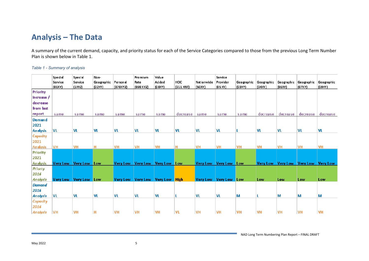### **Analysis – The Data**

A summary of the current demand, capacity, and priority status for each of the Service Categories compared to those from the previous Long Term Number Plan is shown below in Table 1.

#### *Table 1 - Summary of analysis*

<span id="page-5-0"></span>

|                  | Special<br>Service | Special<br>Service        | Non-<br>Geographic | Personal  | Premium<br>Rate                 | Value<br>Added | HOC          | Nationwide                | Service<br>Provider   | Geographic | Geographic | Geographic | Geographic | Geographic                          |
|------------------|--------------------|---------------------------|--------------------|-----------|---------------------------------|----------------|--------------|---------------------------|-----------------------|------------|------------|------------|------------|-------------------------------------|
|                  | (01XY)             | $(1)$ (YZ)                | (02XY)             | (070XYZ)  | (090 XYZ)                       | (08XY)         | $(011)$ XNT) | (50XY)                    | (05XY)                | (03XY)     | (04XY)     | (06XY)     | (07XY)     | (09XY)                              |
| <b>Priority</b>  |                    |                           |                    |           |                                 |                |              |                           |                       |            |            |            |            |                                     |
| $ $ increase $/$ |                    |                           |                    |           |                                 |                |              |                           |                       |            |            |            |            |                                     |
| decrease         |                    |                           |                    |           |                                 |                |              |                           |                       |            |            |            |            |                                     |
| from last        |                    |                           |                    |           |                                 |                |              |                           |                       |            |            |            |            |                                     |
| report           | same               | same                      | same               | same      | same                            | same           | decrease     | same                      | same                  | same       | decrease   | decrease   | decrease   | decrease                            |
| <b>Demand</b>    |                    |                           |                    |           |                                 |                |              |                           |                       |            |            |            |            |                                     |
| 2021             |                    |                           |                    |           |                                 |                |              |                           |                       |            |            |            |            |                                     |
| <b>Analysis</b>  | VL                 | VL                        | VL                 | VL        | VL                              | <b>VL</b>      | VL           | <b>VL</b>                 | <b>VL</b>             | L          | VL         | <b>VL</b>  | VL         | <b>VL</b>                           |
| <b>Capacity</b>  |                    |                           |                    |           |                                 |                |              |                           |                       |            |            |            |            |                                     |
| 2021             |                    |                           |                    |           |                                 |                |              |                           |                       |            |            |            |            |                                     |
| <b>Analysis</b>  | VH                 | <b>VH</b>                 | н                  | <b>VH</b> | <b>VH</b>                       | <b>VH</b>      | H.           | <b>VH</b>                 | <b>VH</b>             | <b>VH</b>  | <b>VH</b>  | <b>VH</b>  | <b>VH</b>  | <b>VH</b>                           |
| <b>Priority</b>  |                    |                           |                    |           |                                 |                |              |                           |                       |            |            |            |            |                                     |
| 2021             |                    |                           |                    |           |                                 |                |              |                           |                       |            |            |            |            |                                     |
| <b>Analysis</b>  |                    | Very Low   Very Low   Low |                    |           | Very Low Very Low Very Low Low  |                |              |                           | Very Low Very Low Low |            |            |            |            | Very Low Very Low Very Low Very Low |
| Priorty          |                    |                           |                    |           |                                 |                |              |                           |                       |            |            |            |            |                                     |
| 2016             |                    |                           |                    |           |                                 |                |              |                           |                       |            |            |            |            |                                     |
| <b>Analysis</b>  |                    | Very Low Very Low Low     |                    |           | Very Low Very Low Very Low High |                |              | Very Low   Very Low   Low |                       |            | Low        | Low        | Low        | Low                                 |
| <b>Demand</b>    |                    |                           |                    |           |                                 |                |              |                           |                       |            |            |            |            |                                     |
| 2016             |                    |                           |                    |           |                                 |                |              |                           |                       |            |            |            |            |                                     |
| <b>Analysis</b>  | VL                 | VL                        | <b>VL</b>          | VL        | VL                              | VL             |              | <b>VL</b>                 | VL                    | M          |            | M          | M          | M                                   |
| Capacity         |                    |                           |                    |           |                                 |                |              |                           |                       |            |            |            |            |                                     |
| 2016             |                    |                           |                    |           |                                 |                |              |                           |                       |            |            |            |            |                                     |
| Analysis         | <b>VH</b>          | <b>VH</b>                 | Н                  | <b>VH</b> | <b>VH</b>                       | <b>VH</b>      | VL           | <b>VH</b>                 | <b>VH</b>             | <b>VH</b>  | <b>VH</b>  | <b>VH</b>  | <b>VH</b>  | <b>VH</b>                           |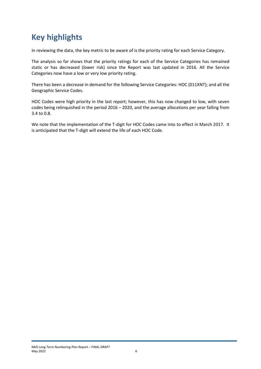# <span id="page-6-0"></span>**Key highlights**

In reviewing the data, the key metric to be aware of is the priority rating for each Service Category.

The analysis so far shows that the priority ratings for each of the Service Categories has remained static or has decreased (lower risk) since the Report was last updated in 2016. All the Service Categories now have a low or very low priority rating.

There has been a decrease in demand for the following Service Categories: HOC (011XNT); and all the Geographic Service Codes.

HOC Codes were high priority in the last report; however, this has now changed to low, with seven codes being relinquished in the period 2016 – 2020, and the average allocations per year falling from 3.4 to 0.8.

We note that the implementation of the T-digit for HOC Codes came into to effect in March 2017. It is anticipated that the T-digit will extend the life of each HOC Code.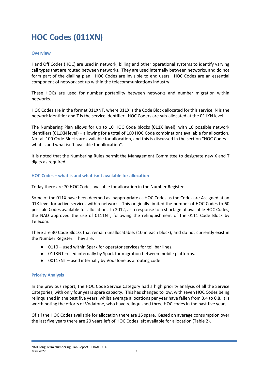# <span id="page-7-0"></span>**HOC Codes (011XN)**

#### <span id="page-7-1"></span>**Overview**

Hand Off Codes (HOC) are used in network, billing and other operational systems to identify varying call types that are routed between networks. They are used internally between networks, and do not form part of the dialling plan. HOC Codes are invisible to end users. HOC Codes are an essential component of network set up within the telecommunications industry.

These HOCs are used for number portability between networks and number migration within networks.

HOC Codes are in the format 011XNT, where 011X is the Code Block allocated for this service, N is the network identifier and T is the service identifier. HOC Coders are sub-allocated at the 011XN level.

The Numbering Plan allows for up to 10 HOC Code blocks (011X level), with 10 possible network identifiers (011XN level) – allowing for a total of 100 HOC Code combinations available for allocation. Not all 100 Code Blocks are available for allocation, and this is discussed in the section "HOC Codes – what is and what isn't available for allocation".

It is noted that the Numbering Rules permit the Management Committee to designate new X and T digits as required.

#### <span id="page-7-2"></span>**HOC Codes – what is and what isn't available for allocation**

Today there are 70 HOC Codes available for allocation in the Number Register.

Some of the 011X have been deemed as inappropriate as HOC Codes as the Codes are Assigned at an 01X level for active services within networks. This originally limited the number of HOC Codes to 60 possible Codes available for allocation. In 2012, as a response to a shortage of available HOC Codes, the NAD approved the use of 0111NT, following the relinquishment of the 0111 Code Block by Telecom.

There are 30 Code Blocks that remain unallocatable, (10 in each block), and do not currently exist in the Number Register. They are:

- 0110 used within Spark for operator services for toll bar lines.
- 0113NT –used internally by Spark for migration between mobile platforms.
- 00117NT used internally by Vodafone as a routing code.

#### <span id="page-7-3"></span>**Priority Analysis**

In the previous report, the HOC Code Service Category had a high priority analysis of all the Service Categories, with only four years spare capacity. This has changed to low, with seven HOC Codes being relinquished in the past five years, whilst average allocations per year have fallen from 3.4 to 0.8. It is worth noting the efforts of Vodafone, who have relinquished three HOC codes in the past five years.

Of all the HOC Codes available for allocation there are 16 spare. Based on average consumption over the last five years there are 20 years left of HOC Codes left available for allocation (Table 2).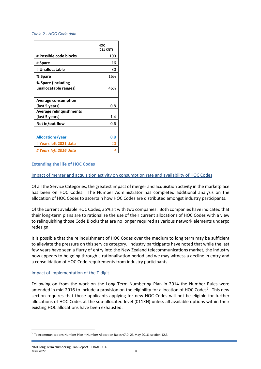#### *Table 2 - HOC Code data*

|                                              | нос<br>(011 XNT) |
|----------------------------------------------|------------------|
| # Possible code blocks                       | 100              |
| # Spare                                      | 16               |
| # Unallocatable                              | 30               |
| % Spare                                      | 16%              |
| % Spare (including<br>unallocatable ranges)  | 46%              |
| <b>Average consumption</b><br>(last 5 years) | 0.8              |
| Average relinguishments<br>(last 5 years)    | 1.4              |
| Net in/out flow                              | $-0.6$           |
| <b>Allocations/year</b>                      | 0.8              |
| # Years left 2021 data                       | 20               |
| # Years left 2016 data                       |                  |

#### <span id="page-8-1"></span><span id="page-8-0"></span>**Extending the life of HOC Codes**

#### Impact of merger and acquisition activity on consumption rate and availability of HOC Codes

Of all the Service Categories, the greatest impact of merger and acquisition activity in the marketplace has been on HOC Codes. The Number Administrator has completed additional analysis on the allocation of HOC Codes to ascertain how HOC Codes are distributed amongst industry participants.

Of the current available HOC Codes, 35% sit with two companies. Both companies have indicated that their long-term plans are to rationalise the use of their current allocations of HOC Codes with a view to relinquishing those Code Blocks that are no longer required as various network elements undergo redesign.

It is possible that the relinquishment of HOC Codes over the medium to long term may be sufficient to alleviate the pressure on this service category. Industry participants have noted that while the last few years have seen a flurry of entry into the New Zealand telecommunications market, the industry now appears to be going through a rationalisation period and we may witness a decline in entry and a consolidation of HOC Code requirements from industry participants.

#### <span id="page-8-2"></span>Impact of implementation of the T-digit

Following on from the work on the Long Term Numbering Plan in 2014 the Number Rules were amended in mid-[2](#page-8-3)016 to include a provision on the eligibility for allocation of HOC Codes<sup>2</sup>. This new section requires that those applicants applying for new HOC Codes will not be eligible for further allocations of HOC Codes at the sub-allocated level (011XN) unless all available options within their existing HOC allocations have been exhausted.

<span id="page-8-3"></span><sup>2</sup> Telecommunications Number Plan – Number Allocation Rules v7.0, 23 May 2016, section 12.3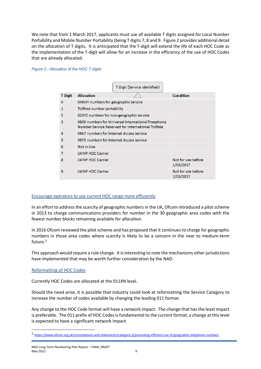We note that from 1 March 2017, applicants must use all available T digits assigned for Local Number Portability and Mobile Number Portability (being T digits 7, 8 and 9. Figure 2 provides additional detail on the allocation of T digits. It is anticipated that the T-digit will extend the life of each HOC Code as the implementation of the T-digit will allow for an increase in the efficiency of the use of HOC Codes that are already allocated.

#### *Figure 2 - Allocation of the HOC T digits*

|                |                                                                                                          | T Digit (Service identified)             |                                 |  |  |  |
|----------------|----------------------------------------------------------------------------------------------------------|------------------------------------------|---------------------------------|--|--|--|
| T Digit        | Allocation                                                                                               |                                          | Condition                       |  |  |  |
| 0              | 0ANXY numbers for geographic service                                                                     |                                          |                                 |  |  |  |
| 1              | Tollfree number portability                                                                              |                                          |                                 |  |  |  |
| $\overline{2}$ |                                                                                                          | 02XYZ numbers for non-geographic service |                                 |  |  |  |
| 3              | 0800 numbers for Universal International Freephone<br>Number Service Reserved for International Tollfree |                                          |                                 |  |  |  |
| $\overline{4}$ | 0867 numbers for Internet Access service                                                                 |                                          |                                 |  |  |  |
| 5              | 0873 numbers for Internet Access service                                                                 |                                          |                                 |  |  |  |
| 6              | Not in Use                                                                                               |                                          |                                 |  |  |  |
| 7              | <b>LMNP HOC Carrier</b>                                                                                  |                                          |                                 |  |  |  |
| 8              | <b>LMNP HOC Carrier</b>                                                                                  |                                          | Not for use before<br>1/03/2017 |  |  |  |
| 9              | LMNP HOC Carrier                                                                                         |                                          | Not for use before<br>1/03/2017 |  |  |  |

#### <span id="page-9-0"></span>Encourage operators to use current HOC range more efficiently

In an effort to address the scarcity of geographic numbers in the UK, Ofcom introduced a pilot scheme in 2013 to charge communications providers for number in the 30 geographic area codes with the fewest number blocks remaining available for allocation.

In 2016 Ofcom reviewed the pilot scheme and has proposed that it continues to charge for geographic numbers in those area codes where scarcity is likely to be a concern in the near to medium-term future.[3](#page-9-2)

This approach would require a rule change. It is interesting to note the mechanisms other jurisdictions have implemented that may be worth further consideration by the NAD.

#### <span id="page-9-1"></span>Reformatting of HOC Codes

Currently HOC Codes are allocated at the 011XN level.

Should the need arise, it is possible that industry could look at reformatting the Service Category to increase the number of codes available by changing the leading 011 format.

Any change to the HOC Code format will have a network impact. The change that has the least impact is preferable. The 011 prefix of HOC Codes is fundamental to the current format; a change at this level is expected to have a significant network impact.

<span id="page-9-2"></span><sup>3</sup> <https://www.ofcom.org.uk/consultations-and-statements/category-2/promoting-efficient-use-of-geographic-telephone-numbers>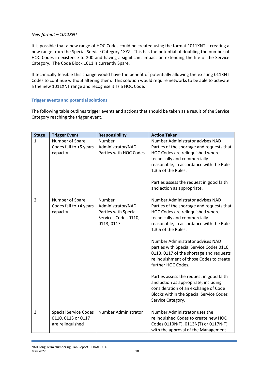#### *New format – 1011XNT*

It is possible that a new range of HOC Codes could be created using the format 1011XNT – creating a new range from the Special Service Category 1XYZ. This has the potential of doubling the number of HOC Codes in existence to 200 and having a significant impact on extending the life of the Service Category. The Code Block 1011 is currently Spare.

If technically feasible this change would have the benefit of potentially allowing the existing 011XNT Codes to continue without altering them. This solution would require networks to be able to activate a the new 1011XNT range and recognise it as a HOC Code.

#### <span id="page-10-0"></span>**Trigger events and potential solutions**

The following table outlines trigger events and actions that should be taken as a result of the Service Category reaching the trigger event.

| <b>Stage</b>   | <b>Trigger Event</b>                                                   | <b>Responsibility</b>                                                                     | <b>Action Taken</b>                                                                                                                                                                                                                                                                                                                                                                                                                                                                                                                                                                                         |
|----------------|------------------------------------------------------------------------|-------------------------------------------------------------------------------------------|-------------------------------------------------------------------------------------------------------------------------------------------------------------------------------------------------------------------------------------------------------------------------------------------------------------------------------------------------------------------------------------------------------------------------------------------------------------------------------------------------------------------------------------------------------------------------------------------------------------|
| $\mathbf{1}$   | Number of Spare<br>Codes fall to <5 years<br>capacity                  | Number<br>Administrator/NAD<br>Parties with HOC Codes                                     | Number Administrator advises NAD<br>Parties of the shortage and requests that<br>HOC Codes are relinquished where<br>technically and commercially<br>reasonable, in accordance with the Rule<br>1.3.5 of the Rules.<br>Parties assess the request in good faith<br>and action as appropriate.                                                                                                                                                                                                                                                                                                               |
| $\overline{2}$ | Number of Spare<br>Codes fall to <4 years<br>capacity                  | Number<br>Administrator/NAD<br>Parties with Special<br>Services Codes 0110;<br>0113; 0117 | Number Administrator advises NAD<br>Parties of the shortage and requests that<br>HOC Codes are relinquished where<br>technically and commercially<br>reasonable, in accordance with the Rule<br>1.3.5 of the Rules.<br>Number Administrator advises NAD<br>parties with Special Service Codes 0110,<br>0113, 0117 of the shortage and requests<br>relinquishment of those Codes to create<br>further HOC Codes.<br>Parties assess the request in good faith<br>and action as appropriate, including<br>consideration of an exchange of Code<br>Blocks within the Special Service Codes<br>Service Category. |
| 3              | <b>Special Service Codes</b><br>0110, 0113 or 0117<br>are relinquished | Number Administrator                                                                      | Number Administrator uses the<br>relinquished Codes to create new HOC<br>Codes 0110N(T), 0113N(T) or 0117N(T)<br>with the approval of the Management                                                                                                                                                                                                                                                                                                                                                                                                                                                        |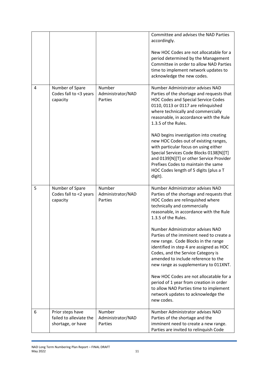|   |                                                                  |                                        | Committee and advises the NAD Parties<br>accordingly.<br>New HOC Codes are not allocatable for a<br>period determined by the Management<br>Committee in order to allow NAD Parties<br>time to implement network updates to<br>acknowledge the new codes.                                                                                                                                                                                                                                                                             |
|---|------------------------------------------------------------------|----------------------------------------|--------------------------------------------------------------------------------------------------------------------------------------------------------------------------------------------------------------------------------------------------------------------------------------------------------------------------------------------------------------------------------------------------------------------------------------------------------------------------------------------------------------------------------------|
| 4 | Number of Spare<br>Codes fall to <3 years<br>capacity            | Number<br>Administrator/NAD<br>Parties | Number Administrator advises NAD<br>Parties of the shortage and requests that<br><b>HOC Codes and Special Service Codes</b><br>0110, 0113 or 0117 are relinquished<br>where technically and commercially<br>reasonable, in accordance with the Rule<br>1.3.5 of the Rules.<br>NAD begins investigation into creating<br>new HOC Codes out of existing ranges,<br>with particular focus on using either<br>Special Services Code Blocks 0138[N][T]<br>and 0139[N][T] or other Service Provider<br>Prefixes Codes to maintain the same |
|   |                                                                  |                                        | HOC Codes length of 5 digits (plus a T<br>digit).                                                                                                                                                                                                                                                                                                                                                                                                                                                                                    |
| 5 | Number of Spare<br>Codes fall to <2 years<br>capacity            | Number<br>Administrator/NAD<br>Parties | Number Administrator advises NAD<br>Parties of the shortage and requests that<br>HOC Codes are relinquished where<br>technically and commercially<br>reasonable, in accordance with the Rule<br>1.3.5 of the Rules.<br>Number Administrator advises NAD<br>Parties of the imminent need to create a                                                                                                                                                                                                                                  |
|   |                                                                  |                                        | new range. Code Blocks in the range<br>identified in step 4 are assigned as HOC<br>Codes, and the Service Category is<br>amended to include reference to the<br>new range as supplementary to 011XNT.                                                                                                                                                                                                                                                                                                                                |
|   |                                                                  |                                        | New HOC Codes are not allocatable for a<br>period of 1 year from creation in order<br>to allow NAD Parties time to implement<br>network updates to acknowledge the<br>new codes.                                                                                                                                                                                                                                                                                                                                                     |
| 6 | Prior steps have<br>failed to alleviate the<br>shortage, or have | Number<br>Administrator/NAD<br>Parties | Number Administrator advises NAD<br>Parties of the shortage and the<br>imminent need to create a new range.<br>Parties are invited to relinquish Code                                                                                                                                                                                                                                                                                                                                                                                |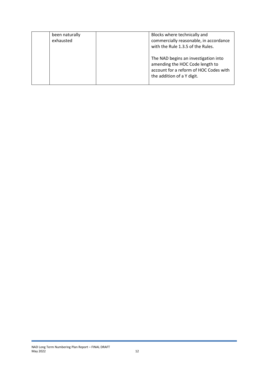| been naturally<br>exhausted | Blocks where technically and<br>commercially reasonable, in accordance<br>with the Rule 1.3.5 of the Rules.                                     |
|-----------------------------|-------------------------------------------------------------------------------------------------------------------------------------------------|
|                             | The NAD begins an investigation into<br>amending the HOC Code length to<br>account for a reform of HOC Codes with<br>the addition of a Y digit. |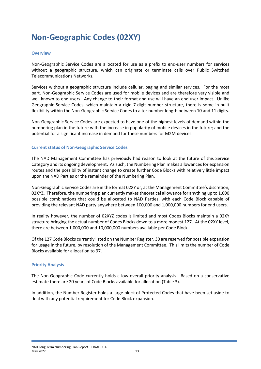# <span id="page-13-0"></span>**Non-Geographic Codes (02XY)**

#### <span id="page-13-1"></span>**Overview**

Non-Geographic Service Codes are allocated for use as a prefix to end-user numbers for services without a geographic structure, which can originate or terminate calls over Public Switched Telecommunications Networks.

Services without a geographic structure include cellular, paging and similar services. For the most part, Non-Geographic Service Codes are used for mobile devices and are therefore very visible and well known to end users. Any change to their format and use will have an end user impact. Unlike Geographic Service Codes, which maintain a rigid 7-digit number structure, there is some in-built flexibility within the Non-Geographic Service Codes to alter number length between 10 and 11 digits.

Non-Geographic Service Codes are expected to have one of the highest levels of demand within the numbering plan in the future with the increase in popularity of mobile devices in the future; and the potential for a significant increase in demand for these numbers for M2M devices.

#### <span id="page-13-2"></span>**Current status of Non-Geographic Service Codes**

The NAD Management Committee has previously had reason to look at the future of this Service Category and its ongoing development. As such, the Numbering Plan makes allowances for expansion routes and the possibility of instant change to create further Code Blocks with relatively little impact upon the NAD Parties or the remainder of the Numbering Plan.

Non-Geographic Service Codes are in the format 02XY or, at the Management Committee's discretion, 02XYZ. Therefore, the numbering plan currently makes theoretical allowance for anything up to 1,000 possible combinations that could be allocated to NAD Parties, with each Code Block capable of providing the relevant NAD party anywhere between 100,000 and 1,000,000 numbers for end users.

In reality however, the number of 02XYZ codes is limited and most Codes Blocks maintain a 02XY structure bringing the actual number of Codes Blocks down to a more modest 127. At the 02XY level, there are between 1,000,000 and 10,000,000 numbers available per Code Block.

Of the 127 Code Blocks currently listed on the Number Register, 30 are reserved for possible expansion for usage in the future, by resolution of the Management Committee. This limits the number of Code Blocks available for allocation to 97.

#### <span id="page-13-3"></span>**Priority Analysis**

The Non-Geographic Code currently holds a low overall priority analysis. Based on a conservative estimate there are 20 years of Code Blocks available for allocation (Table 3).

In addition, the Number Register holds a large block of Protected Codes that have been set aside to deal with any potential requirement for Code Block expansion.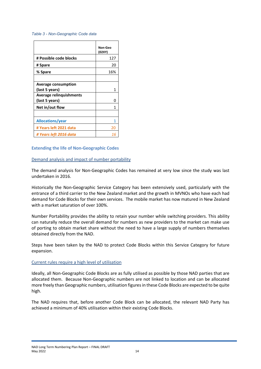#### *Table 3 - Non-Geographic Code data*

|                                              | Non-Geo<br>(02XY) |
|----------------------------------------------|-------------------|
| # Possible code blocks                       | 127               |
| # Spare                                      | 20                |
| % Spare                                      | 16%               |
|                                              |                   |
| <b>Average consumption</b><br>(last 5 years) | 1                 |
| Average relinguishments<br>(last 5 years)    | O                 |
| Net in/out flow                              | 1                 |
|                                              |                   |
| <b>Allocations/year</b>                      |                   |
| # Years left 2021 data                       | 20                |
| # Years left 2016 data                       | 16                |

#### <span id="page-14-1"></span><span id="page-14-0"></span>**Extending the life of Non-Geographic Codes**

#### Demand analysis and impact of number portability

The demand analysis for Non-Geographic Codes has remained at very low since the study was last undertaken in 2016.

Historically the Non-Geographic Service Category has been extensively used, particularly with the entrance of a third carrier to the New Zealand market and the growth in MVNOs who have each had demand for Code Blocks for their own services. The mobile market has now matured in New Zealand with a market saturation of over 100%.

Number Portability provides the ability to retain your number while switching providers. This ability can naturally reduce the overall demand for numbers as new providers to the market can make use of porting to obtain market share without the need to have a large supply of numbers themselves obtained directly from the NAD.

Steps have been taken by the NAD to protect Code Blocks within this Service Category for future expansion.

#### <span id="page-14-2"></span>Current rules require a high level of utilisation

Ideally, all Non-Geographic Code Blocks are as fully utilised as possible by those NAD parties that are allocated them. Because Non-Geographic numbers are not linked to location and can be allocated more freely than Geographic numbers, utilisation figuresin these Code Blocks are expected to be quite high.

The NAD requires that, before another Code Block can be allocated, the relevant NAD Party has achieved a minimum of 40% utilisation within their existing Code Blocks.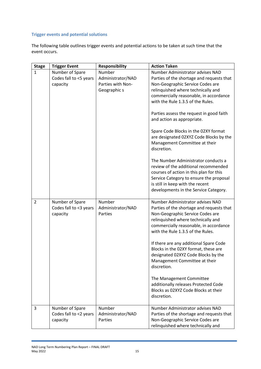#### <span id="page-15-0"></span>**Trigger events and potential solutions**

The following table outlines trigger events and potential actions to be taken at such time that the event occurs.

| <b>Stage</b>   | <b>Trigger Event</b>                                  | <b>Responsibility</b>                  | <b>Action Taken</b>                                                                                                                                                                                                                                                                                                                                                                                             |
|----------------|-------------------------------------------------------|----------------------------------------|-----------------------------------------------------------------------------------------------------------------------------------------------------------------------------------------------------------------------------------------------------------------------------------------------------------------------------------------------------------------------------------------------------------------|
| $\mathbf{1}$   | Number of Spare                                       | Number                                 | Number Administrator advises NAD                                                                                                                                                                                                                                                                                                                                                                                |
|                | Codes fall to <5 years                                | Administrator/NAD                      | Parties of the shortage and requests that                                                                                                                                                                                                                                                                                                                                                                       |
|                | capacity                                              | Parties with Non-                      | Non-Geographic Service Codes are                                                                                                                                                                                                                                                                                                                                                                                |
|                |                                                       | Geographic s                           | relinquished where technically and                                                                                                                                                                                                                                                                                                                                                                              |
|                |                                                       |                                        | commercially reasonable, in accordance                                                                                                                                                                                                                                                                                                                                                                          |
|                |                                                       |                                        | with the Rule 1.3.5 of the Rules.                                                                                                                                                                                                                                                                                                                                                                               |
|                |                                                       |                                        | Parties assess the request in good faith<br>and action as appropriate.                                                                                                                                                                                                                                                                                                                                          |
|                |                                                       |                                        | Spare Code Blocks in the 02XY format<br>are designated 02XYZ Code Blocks by the<br>Management Committee at their<br>discretion.                                                                                                                                                                                                                                                                                 |
|                |                                                       |                                        | The Number Administrator conducts a<br>review of the additional recommended<br>courses of action in this plan for this<br>Service Category to ensure the proposal<br>is still in keep with the recent<br>developments in the Service Category.                                                                                                                                                                  |
| $\overline{2}$ | Number of Spare<br>Codes fall to <3 years<br>capacity | Number<br>Administrator/NAD<br>Parties | Number Administrator advises NAD<br>Parties of the shortage and requests that<br>Non-Geographic Service Codes are<br>relinquished where technically and<br>commercially reasonable, in accordance<br>with the Rule 1.3.5 of the Rules.<br>If there are any additional Spare Code<br>Blocks in the 02XY format, these are<br>designated 02XYZ Code Blocks by the<br>Management Committee at their<br>discretion. |
|                |                                                       |                                        | The Management Committee<br>additionally releases Protected Code<br>Blocks as 02XYZ Code Blocks at their<br>discretion.                                                                                                                                                                                                                                                                                         |
| 3              | Number of Spare<br>Codes fall to <2 years<br>capacity | Number<br>Administrator/NAD<br>Parties | Number Administrator advises NAD<br>Parties of the shortage and requests that<br>Non-Geographic Service Codes are<br>relinquished where technically and                                                                                                                                                                                                                                                         |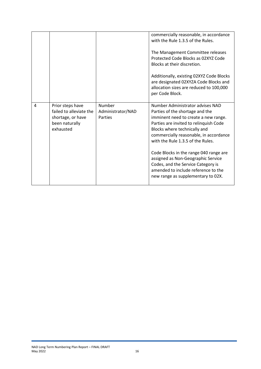|   |                                                                                                 |                                               | commercially reasonable, in accordance<br>with the Rule 1.3.5 of the Rules.<br>The Management Committee releases<br>Protected Code Blocks as 02XYZ Code<br>Blocks at their discretion.<br>Additionally, existing 02XYZ Code Blocks<br>are designated 02XYZA Code Blocks and<br>allocation sizes are reduced to 100,000<br>per Code Block.                                                                                                                               |
|---|-------------------------------------------------------------------------------------------------|-----------------------------------------------|-------------------------------------------------------------------------------------------------------------------------------------------------------------------------------------------------------------------------------------------------------------------------------------------------------------------------------------------------------------------------------------------------------------------------------------------------------------------------|
| 4 | Prior steps have<br>failed to alleviate the<br>shortage, or have<br>been naturally<br>exhausted | <b>Number</b><br>Administrator/NAD<br>Parties | Number Administrator advises NAD<br>Parties of the shortage and the<br>imminent need to create a new range.<br>Parties are invited to relinquish Code<br>Blocks where technically and<br>commercially reasonable, in accordance<br>with the Rule 1.3.5 of the Rules.<br>Code Blocks in the range 040 range are<br>assigned as Non-Geographic Service<br>Codes, and the Service Category is<br>amended to include reference to the<br>new range as supplementary to 02X. |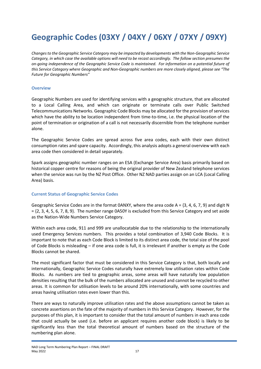# <span id="page-17-0"></span>**Geographic Codes (03XY / 04XY / 06XY / 07XY / 09XY)**

*Changes to the Geographic Service Category may be impacted by developments with the Non-Geographic Service Category, in which case the available options will need to be recast accordingly. The follow section presumes the on-going independence of the Geographic Service Code is maintained. For information on a potential future of this Service Category where Geographic and Non-Geographic numbers are more closely aligned, please see "The Future for Geographic Numbers"*

#### <span id="page-17-1"></span>**Overview**

Geographic Numbers are used for identifying services with a geographic structure, that are allocated to a Local Calling Area, and which can originate or terminate calls over Public Switched Telecommunications Networks. Geographic Code Blocks may be allocated for the provision of services which have the ability to be location independent from time-to-time, i.e. the physical location of the point of termination or origination of a call is not necessarily discernible from the telephone number alone.

The Geographic Service Codes are spread across five area codes, each with their own distinct consumption rates and spare capacity. Accordingly, this analysis adopts a general overview with each area code then considered in detail separately.

Spark assigns geographic number ranges on an ESA (Exchange Service Area) basis primarily based on historical copper centre for reasons of being the original provider of New Zealand telephone services when the service was run by the NZ Post Office. Other NZ NAD parties assign on an LCA (Local Calling Area) basis.

#### <span id="page-17-2"></span>**Current Status of Geographic Service Codes**

Geographic Service Codes are in the format  $0ANXY$ , where the area code A = {3, 4, 6, 7, 9} and digit N  $= \{2, 3, 4, 5, 6, 7, 8, 9\}$ . The number range 0A50Y is excluded from this Service Category and set aside as the Nation-Wide Numbers Service Category.

Within each area code, 911 and 999 are unallocatable due to the relationship to the internationally used Emergency Services numbers. This provides a total combination of 3,940 Code Blocks. It is important to note that as each Code Block is limited to its distinct area code, the total size of the pool of Code Blocks is misleading – if one area code is full, it is irrelevant if another is empty as the Code Blocks cannot be shared.

The most significant factor that must be considered in this Service Category is that, both locally and internationally, Geographic Service Codes naturally have extremely low utilisation rates within Code Blocks. As numbers are tied to geographic areas, some areas will have naturally low population densities resulting that the bulk of the numbers allocated are unused and cannot be recycled to other areas. It is common for utilisation levels to be around 20% internationally, with some countries and areas having utilisation rates even lower than this.

There are ways to naturally improve utilisation rates and the above assumptions cannot be taken as concrete assertions on the fate of the majority of numbers in this Service Category. However, for the purposes of this plan, it is important to consider that the total amount of numbers in each area code that could actually be used (i.e. before an applicant requires another code block) is likely to be significantly less than the total theoretical amount of numbers based on the structure of the numbering plan alone.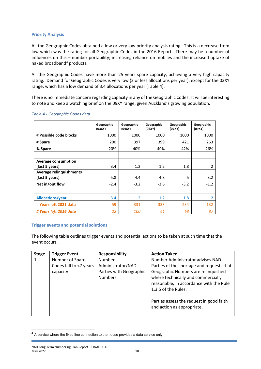#### <span id="page-18-0"></span>**Priority Analysis**

All the Geographic Codes obtained a low or very low priority analysis rating. This is a decrease from low which was the rating for all Geographic Codes in the 2016 Report. There may be a number of influences on this – number portability; increasing reliance on mobiles and the increased uptake of naked broadband<sup>[4](#page-18-2)</sup> products.

All the Geographic Codes have more than 25 years spare capacity, achieving a very high capacity rating. Demand for Geographic Codes is very low (2 or less allocations per year), except for the 03XY range, which has a low demand of 3.4 allocations per year (Table 4).

There is no immediate concern regarding capacity in any of the Geographic Codes. It will be interesting to note and keep a watching brief on the 09XY range, given Auckland's growing population.

|                                              | Geographic<br>(03XY) | Geographic<br>(04XY) | Geographic<br>(06XY) | Geographic<br>(07XY) | Geographic<br>(09XY) |
|----------------------------------------------|----------------------|----------------------|----------------------|----------------------|----------------------|
| # Possible code blocks                       | 1000                 | 1000                 | 1000                 | 1000                 | 1000                 |
| # Spare                                      | 200                  | 397                  | 399                  | 421                  | 263                  |
| % Spare                                      | 20%                  | 40%                  | 40%                  | 42%                  | 26%                  |
| <b>Average consumption</b><br>(last 5 years) | 3.4                  | 1.2                  | 1.2                  | 1.8                  | $\overline{2}$       |
| Average relinquishments<br>(last 5 years)    | 5.8                  | 4.4                  | 4.8                  | 5                    | 3.2                  |
| Net in/out flow                              | $-2.4$               | $-3.2$               | $-3.6$               | $-3.2$               | $-1.2$               |
| <b>Allocations/year</b>                      | 3.4                  | 1.2                  | 1.2                  | 1.8                  | $\overline{2}$       |
| # Years left 2021 data                       | 59                   | 331                  | 333                  | 234                  | 132                  |
| # Years left 2016 data                       | 22                   | 100                  | 61                   | 63                   | 37                   |

#### *Table 4 - Geographic Codes data*

#### <span id="page-18-1"></span>**Trigger events and potential solutions**

The following table outlines trigger events and potential actions to be taken at such time that the event occurs.

| <b>Stage</b> | <b>Trigger Event</b>   | <b>Responsibility</b>   | <b>Action Taken</b>                       |
|--------------|------------------------|-------------------------|-------------------------------------------|
|              | Number of Spare        | Number                  | Number Administrator advises NAD          |
|              | Codes fall to <7 years | Administrator/NAD       | Parties of the shortage and requests that |
|              | capacity               | Parties with Geographic | Geographic Numbers are relinquished       |
|              |                        | <b>Numbers</b>          | where technically and commercially        |
|              |                        |                         | reasonable, in accordance with the Rule   |
|              |                        |                         | 1.3.5 of the Rules.                       |
|              |                        |                         |                                           |
|              |                        |                         | Parties assess the request in good faith  |
|              |                        |                         | and action as appropriate.                |
|              |                        |                         |                                           |

<span id="page-18-2"></span> $4$  A service where the fixed line connection to the house provides a data service only.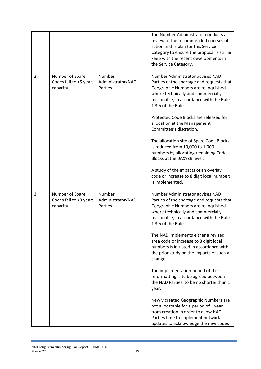|                |                                                       |                                        | The Number Administrator conducts a<br>review of the recommended courses of<br>action in this plan for this Service<br>Category to ensure the proposal is still in<br>keep with the recent developments in<br>the Service Category.                                                                                                                                           |
|----------------|-------------------------------------------------------|----------------------------------------|-------------------------------------------------------------------------------------------------------------------------------------------------------------------------------------------------------------------------------------------------------------------------------------------------------------------------------------------------------------------------------|
| $\overline{2}$ | Number of Spare<br>Codes fall to <5 years<br>capacity | Number<br>Administrator/NAD<br>Parties | Number Administrator advises NAD<br>Parties of the shortage and requests that<br>Geographic Numbers are relinquished<br>where technically and commercially<br>reasonable, in accordance with the Rule<br>1.3.5 of the Rules.<br>Protected Code Blocks are released for<br>allocation at the Management<br>Committee's discretion.<br>The allocation size of Spare Code Blocks |
|                |                                                       |                                        | is reduced from 10,000 to 1,000<br>numbers by allocating remaining Code<br>Blocks at the OAXYZB level.<br>A study of the impacts of an overlay<br>code or increase to 8 digit local numbers<br>is implemented.                                                                                                                                                                |
| 3              | Number of Spare<br>Codes fall to <3 years<br>capacity | Number<br>Administrator/NAD<br>Parties | Number Administrator advises NAD<br>Parties of the shortage and requests that<br>Geographic Numbers are relinquished<br>where technically and commercially<br>reasonable, in accordance with the Rule<br>1.3.5 of the Rules.<br>The NAD implements either a revised<br>area code or increase to 8 digit local<br>numbers is initiated in accordance with                      |
|                |                                                       |                                        | the prior study on the impacts of such a<br>change.<br>The implementation period of the<br>reformatting is to be agreed between<br>the NAD Parties, to be no shorter than 1<br>year.                                                                                                                                                                                          |
|                |                                                       |                                        | Newly created Geographic Numbers are<br>not allocatable for a period of 1 year<br>from creation in order to allow NAD<br>Parties time to implement network<br>updates to acknowledge the new codes                                                                                                                                                                            |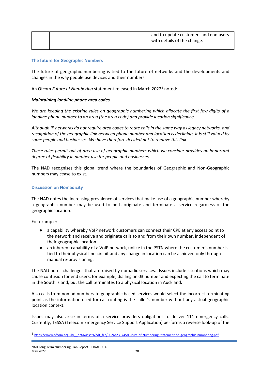|  |  | and to update customers and end users<br>with details of the change. |
|--|--|----------------------------------------------------------------------|
|  |  |                                                                      |

#### <span id="page-20-0"></span>**The future for Geographic Numbers**

The future of geographic numbering is tied to the future of networks and the developments and changes in the way people use devices and their numbers.

An Ofcom *Future of Numbering* statement released in March 2022[5](#page-20-2) noted:

#### *Maintaining landline phone area codes*

*We are keeping the existing rules on geographic numbering which allocate the first few digits of a landline phone number to an area (the area code) and provide location significance.* 

*Although IP networks do not require area codes to route calls in the same way as legacy networks, and recognition of the geographic link between phone number and location is declining, it is still valued by some people and businesses. We have therefore decided not to remove this link.* 

*These rules permit out-of-area use of geographic numbers which we consider provides an important degree of flexibility in number use for people and businesses.*

The NAD recognises this global trend where the boundaries of Geographic and Non-Geographic numbers may cease to exist.

#### <span id="page-20-1"></span>**Discussion on Nomadicity**

The NAD notes the increasing prevalence of services that make use of a geographic number whereby a geographic number may be used to both originate and terminate a service regardless of the geographic location.

For example:

- a capability whereby VoIP network customers can connect their CPE at any access point to the network and receive and originate calls to and from their own number, independent of their geographic location.
- an inherent capability of a VoIP network, unlike in the PSTN where the customer's number is tied to their physical line circuit and any change in location can be achieved only through manual re-provisioning.

The NAD notes challenges that are raised by nomadic services. Issues include situations which may cause confusion for end users, for example, dialling an 03 number and expecting the call to terminate in the South Island, but the call terminates to a physical location in Auckland.

Also calls from nomad numbers to geographic based services would select the incorrect terminating point as the information used for call routing is the caller's number without any actual geographic location context.

Issues may also arise in terms of a service providers obligations to deliver 111 emergency calls. Currently, TESSA (Telecom Emergency Service Support Application) performs a reverse look-up of the

<span id="page-20-2"></span><sup>5</sup> [https://www.ofcom.org.uk/\\_\\_data/assets/pdf\\_file/0024/233745/Future-of-Numbering-Statement-on-geographic-numbering.pdf](https://www.ofcom.org.uk/__data/assets/pdf_file/0024/233745/Future-of-Numbering-Statement-on-geographic-numbering.pdf)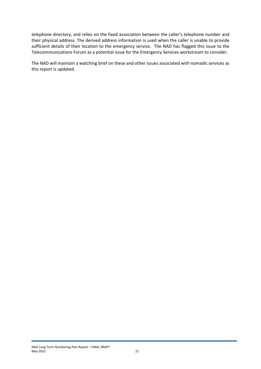telephone directory, and relies on the fixed association between the caller's telephone number and their physical address. The derived address information is used when the caller is unable to provide sufficient details of their location to the emergency service. The NAD has flagged this issue to the Telecommunications Forum as a potential issue for the Emergency Services workstream to consider.

The NAD will maintain a watching brief on these and other issues associated with nomadic services as this report is updated.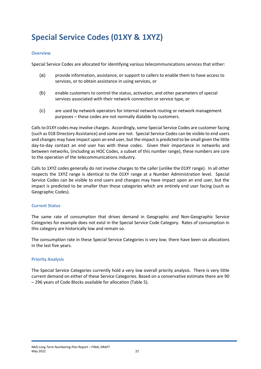# <span id="page-22-0"></span>**Special Service Codes (01XY & 1XYZ)**

#### <span id="page-22-1"></span>**Overview**

Special Service Codes are allocated for identifying various telecommunications services that either:

- (a) provide information, assistance, or support to callers to enable them to have access to services, or to obtain assistance in using services, or
- (b) enable customers to control the status, activation, and other parameters of special services associated with their network connection or service type, or
- (c) are used by network operators for internal network routing or network management purposes – these codes are not normally dialable by customers.

Calls to 01XY codes may involve charges. Accordingly, some Special Service Codes are customer facing (such as 018 Directory Assistance) and some are not. Special Service Codes can be visible to end users and changes may have impact upon an end user, but the impact is predicted to be small given the little day-to-day contact an end user has with these codes. Given their importance in networks and between networks, (including as HOC Codes, a subset of this number range), these numbers are core to the operation of the telecommunications industry.

Calls to 1XYZ codes generally do not involve charges to the caller (unlike the 01XY range). In all other respects the 1XYZ range is identical to the 01XY range at a Number Administration level. Special Service Codes can be visible to end users and changes may have impact upon an end user, but the impact is predicted to be smaller than those categories which are entirely end user facing (such as Geographic Codes).

#### <span id="page-22-2"></span>**Current Status**

The same rate of consumption that drives demand in Geographic and Non-Geographic Service Categories for example does not exist in the Special Service Code Category. Rates of consumption in this category are historically low and remain so.

The consumption rate in these Special Service Categories is very low; there have been six allocations in the last five years.

#### <span id="page-22-3"></span>**Priority Analysis**

The Special Service Categories currently hold a very low overall priority analysis. There is very little current demand on either of these Service Categories. Based on a conservative estimate there are 90 – 296 years of Code Blocks available for allocation (Table 5).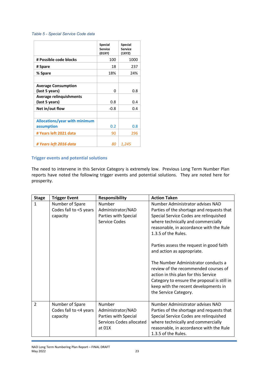#### *Table 5 - Special Service Code data*

|                                              | <b>Special</b><br><b>Service</b><br>(01XY) | <b>Special</b><br><b>Service</b><br>(1XYZ) |
|----------------------------------------------|--------------------------------------------|--------------------------------------------|
| # Possible code blocks                       | 100                                        | 1000                                       |
| # Spare                                      | 18                                         | 237                                        |
| % Spare                                      | 18%                                        | 24%                                        |
|                                              |                                            |                                            |
| <b>Average Consumption</b><br>(last 5 years) | 0                                          | 0.8                                        |
| <b>Average relinguishments</b>               |                                            |                                            |
| (last 5 years)                               | 0.8                                        | 0.4                                        |
| Net in/out flow                              | $-0.8$                                     | 0.4                                        |
|                                              |                                            |                                            |
| Allocations/year with minimum                |                                            |                                            |
| assumption                                   | 0.2                                        | 0.8                                        |
| # Years left 2021 data                       | 90                                         | 296                                        |
| # Years left 2016 data                       | 80                                         | 1,245                                      |

#### <span id="page-23-0"></span>**Trigger events and potential solutions**

The need to intervene in this Service Category is extremely low. Previous Long Term Number Plan reports have noted the following trigger events and potential solutions. They are noted here for prosperity.

| <b>Stage</b>   | <b>Trigger Event</b>                                  | <b>Responsibility</b>                                                                       | <b>Action Taken</b>                                                                                                                                                                                                                                                                                                                                                                                                                                                                                                                              |
|----------------|-------------------------------------------------------|---------------------------------------------------------------------------------------------|--------------------------------------------------------------------------------------------------------------------------------------------------------------------------------------------------------------------------------------------------------------------------------------------------------------------------------------------------------------------------------------------------------------------------------------------------------------------------------------------------------------------------------------------------|
| $\mathbf{1}$   | Number of Spare<br>Codes fall to <5 years<br>capacity | Number<br>Administrator/NAD<br>Parties with Special<br>Service Codes                        | Number Administrator advises NAD<br>Parties of the shortage and requests that<br>Special Service Codes are relinquished<br>where technically and commercially<br>reasonable, in accordance with the Rule<br>1.3.5 of the Rules.<br>Parties assess the request in good faith<br>and action as appropriate.<br>The Number Administrator conducts a<br>review of the recommended courses of<br>action in this plan for this Service<br>Category to ensure the proposal is still in<br>keep with the recent developments in<br>the Service Category. |
| $\overline{2}$ | Number of Spare<br>Codes fall to <4 years<br>capacity | Number<br>Administrator/NAD<br>Parties with Special<br>Services Codes allocated<br>at $01X$ | Number Administrator advises NAD<br>Parties of the shortage and requests that<br>Special Service Codes are relinquished<br>where technically and commercially<br>reasonable, in accordance with the Rule<br>1.3.5 of the Rules.                                                                                                                                                                                                                                                                                                                  |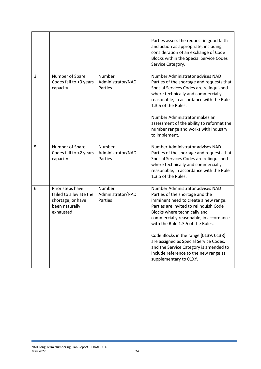|   |                                                                                                 |                                        | Parties assess the request in good faith<br>and action as appropriate, including<br>consideration of an exchange of Code<br>Blocks within the Special Service Codes<br>Service Category.                                                                             |
|---|-------------------------------------------------------------------------------------------------|----------------------------------------|----------------------------------------------------------------------------------------------------------------------------------------------------------------------------------------------------------------------------------------------------------------------|
| 3 | Number of Spare<br>Codes fall to <3 years<br>capacity                                           | Number<br>Administrator/NAD<br>Parties | Number Administrator advises NAD<br>Parties of the shortage and requests that<br>Special Services Codes are relinquished<br>where technically and commercially<br>reasonable, in accordance with the Rule<br>1.3.5 of the Rules.                                     |
|   |                                                                                                 |                                        | Number Administrator makes an<br>assessment of the ability to reformat the<br>number range and works with industry<br>to implement.                                                                                                                                  |
| 5 | Number of Spare<br>Codes fall to <2 years<br>capacity                                           | Number<br>Administrator/NAD<br>Parties | Number Administrator advises NAD<br>Parties of the shortage and requests that<br>Special Services Codes are relinquished<br>where technically and commercially<br>reasonable, in accordance with the Rule<br>1.3.5 of the Rules.                                     |
| 6 | Prior steps have<br>failed to alleviate the<br>shortage, or have<br>been naturally<br>exhausted | Number<br>Administrator/NAD<br>Parties | Number Administrator advises NAD<br>Parties of the shortage and the<br>imminent need to create a new range.<br>Parties are invited to relinquish Code<br>Blocks where technically and<br>commercially reasonable, in accordance<br>with the Rule 1.3.5 of the Rules. |
|   |                                                                                                 |                                        | Code Blocks in the range [0139, 0138]<br>are assigned as Special Service Codes,<br>and the Service Category is amended to<br>include reference to the new range as<br>supplementary to 01XY.                                                                         |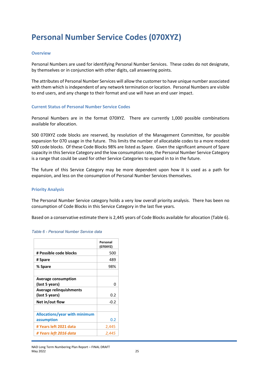# <span id="page-25-0"></span>**Personal Number Service Codes (070XYZ)**

#### <span id="page-25-1"></span>**Overview**

Personal Numbers are used for identifying Personal Number Services. These codes do not designate, by themselves or in conjunction with other digits, call answering points.

The attributes of Personal Number Services will allow the customer to have unique number associated with them which is independent of any network termination or location. Personal Numbers are visible to end users, and any change to their format and use will have an end user impact.

#### <span id="page-25-2"></span>**Current Status of Personal Number Service Codes**

Personal Numbers are in the format 070XYZ. There are currently 1,000 possible combinations available for allocation.

500 070XYZ code blocks are reserved, by resolution of the Management Committee, for possible expansion for 070 usage in the future. This limits the number of allocatable codes to a more modest 500 code blocks. Of these Code Blocks 98% are listed as Spare. Given the significant amount of Spare capacity in this Service Category and the low consumption rate, the Personal Number Service Category is a range that could be used for other Service Categories to expand in to in the future.

The future of this Service Category may be more dependent upon how it is used as a path for expansion, and less on the consumption of Personal Number Services themselves.

#### <span id="page-25-3"></span>**Priority Analysis**

The Personal Number Service category holds a very low overall priority analysis. There has been no consumption of Code Blocks in this Service Category in the last five years.

Based on a conservative estimate there is 2,445 years of Code Blocks available for allocation (Table 6).

|                               | Personal<br>(070XYZ) |
|-------------------------------|----------------------|
| # Possible code blocks        | 500                  |
| # Spare                       | 489                  |
| % Spare                       | 98%                  |
|                               |                      |
| <b>Average consumption</b>    |                      |
| (last 5 years)                | O                    |
| Average relinguishments       |                      |
| (last 5 years)                | 0.2                  |
| Net in/out flow               | $-0.2$               |
|                               |                      |
| Allocations/year with minimum |                      |
| assumption                    | 0.2                  |
| # Years left 2021 data        | 2,445                |
| # Years left 2016 data        | 2.445                |

#### *Table 6 - Personal Number Service data*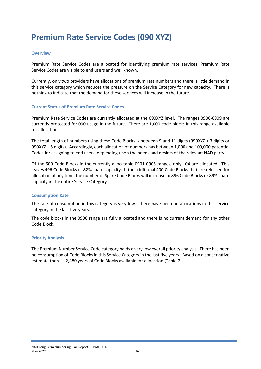# <span id="page-26-0"></span>**Premium Rate Service Codes (090 XYZ)**

#### <span id="page-26-1"></span>**Overview**

Premium Rate Service Codes are allocated for identifying premium rate services. Premium Rate Service Codes are visible to end users and well known.

Currently, only two providers have allocations of premium rate numbers and there is little demand in this service category which reduces the pressure on the Service Category for new capacity. There is nothing to indicate that the demand for these services will increase in the future.

#### <span id="page-26-2"></span>**Current Status of Premium Rate Service Codes**

Premium Rate Service Codes are currently allocated at the 090XYZ level. The ranges 0906-0909 are currently protected for 090 usage in the future. There are 1,000 code blocks in this range available for allocation.

The total length of numbers using these Code Blocks is between 9 and 11 digits (090XYZ + 3 digits or 090XYZ + 5 digits). Accordingly, each allocation of numbers has between 1,000 and 100,000 potential Codes for assigning to end users, depending upon the needs and desires of the relevant NAD party.

Of the 600 Code Blocks in the currently allocatable 0901-0905 ranges, only 104 are allocated. This leaves 496 Code Blocks or 82% spare capacity. If the additional 400 Code Blocks that are released for allocation at any time, the number of Spare Code Blocks will increase to 896 Code Blocks or 89% spare capacity in the entire Service Category.

#### <span id="page-26-3"></span>**Consumption Rate**

The rate of consumption in this category is very low. There have been no allocations in this service category in the last five years.

The code blocks in the 0900 range are fully allocated and there is no current demand for any other Code Block.

#### <span id="page-26-4"></span>**Priority Analysis**

The Premium Number Service Code category holds a very low overall priority analysis. There has been no consumption of Code Blocks in this Service Category in the last five years. Based on a conservative estimate there is 2,480 years of Code Blocks available for allocation (Table 7).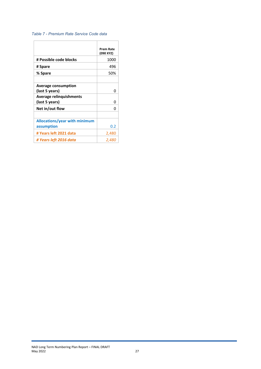#### *Table 7 - Premium Rate Service Code data*

|                                                  | <b>Prem Rate</b><br>(090 XYZ) |
|--------------------------------------------------|-------------------------------|
| # Possible code blocks                           | 1000                          |
| # Spare                                          | 496                           |
| % Spare                                          | 50%                           |
| <b>Average consumption</b>                       |                               |
| (last 5 years)                                   | 0                             |
| <b>Average relinquishments</b><br>(last 5 years) | ŋ                             |
| Net in/out flow                                  | 0                             |
|                                                  |                               |
| Allocations/year with minimum                    |                               |
| assumption                                       | 0.2                           |
| # Years left 2021 data                           | 2,480                         |
| # Years left 2016 data                           | 2.480                         |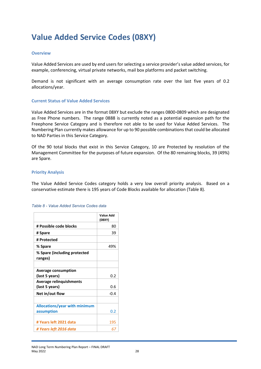# <span id="page-28-0"></span>**Value Added Service Codes (08XY)**

#### <span id="page-28-1"></span>**Overview**

Value Added Services are used by end users for selecting a service provider's value added services, for example, conferencing, virtual private networks, mail box platforms and packet switching.

Demand is not significant with an average consumption rate over the last five years of 0.2 allocations/year.

#### <span id="page-28-2"></span>**Current Status of Value Added Services**

Value Added Services are in the format 08XY but exclude the ranges 0800-0809 which are designated as Free Phone numbers. The range 0888 is currently noted as a potential expansion path for the Freephone Service Category and is therefore not able to be used for Value Added Services. The Numbering Plan currently makes allowance for up to 90 possible combinations that could be allocated to NAD Parties in this Service Category.

Of the 90 total blocks that exist in this Service Category, 10 are Protected by resolution of the Management Committee for the purposes of future expansion. Of the 80 remaining blocks, 39 (49%) are Spare.

#### <span id="page-28-3"></span>**Priority Analysis**

The Value Added Service Codes category holds a very low overall priority analysis. Based on a conservative estimate there is 195 years of Code Blocks available for allocation (Table 8).

|                                         | Value Add<br>(08XY) |
|-----------------------------------------|---------------------|
| # Possible code blocks                  | 80                  |
| # Spare                                 | 39                  |
| # Protected                             |                     |
| % Spare                                 | 49%                 |
| % Spare (including protected<br>ranges) |                     |
|                                         |                     |
| <b>Average consumption</b>              |                     |
| (last 5 years)                          | 0.2                 |
| <b>Average relinquishments</b>          |                     |
| (last 5 years)                          | 0.6                 |
| Net in/out flow                         | $-0.4$              |
|                                         |                     |
| Allocations/year with minimum           |                     |
| assumption                              | 0.2                 |
|                                         |                     |
| # Years left 2021 data                  | 195                 |
| # Years left 2016 data                  | 67                  |

#### *Table 8 - Value Added Service Codes data*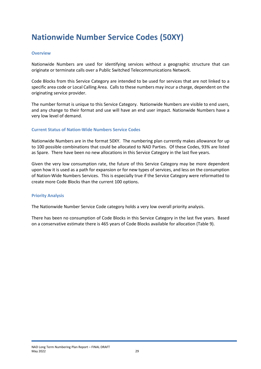# <span id="page-29-0"></span>**Nationwide Number Service Codes (50XY)**

#### <span id="page-29-1"></span>**Overview**

Nationwide Numbers are used for identifying services without a geographic structure that can originate or terminate calls over a Public Switched Telecommunications Network.

Code Blocks from this Service Category are intended to be used for services that are not linked to a specific area code or Local Calling Area. Calls to these numbers may incur a charge, dependent on the originating service provider.

The number format is unique to this Service Category. Nationwide Numbers are visible to end users, and any change to their format and use will have an end user impact. Nationwide Numbers have a very low level of demand.

#### <span id="page-29-2"></span>**Current Status of Nation-Wide Numbers Service Codes**

Nationwide Numbers are in the format 50XY. The numbering plan currently makes allowance for up to 100 possible combinations that could be allocated to NAD Parties. Of these Codes, 93% are listed as Spare. There have been no new allocations in this Service Category in the last five years.

Given the very low consumption rate, the future of this Service Category may be more dependent upon how it is used as a path for expansion or for new types of services, and less on the consumption of Nation-Wide Numbers Services. This is especially true if the Service Category were reformatted to create more Code Blocks than the current 100 options.

#### <span id="page-29-3"></span>**Priority Analysis**

The Nationwide Number Service Code category holds a very low overall priority analysis.

There has been no consumption of Code Blocks in this Service Category in the last five years. Based on a conservative estimate there is 465 years of Code Blocks available for allocation (Table 9).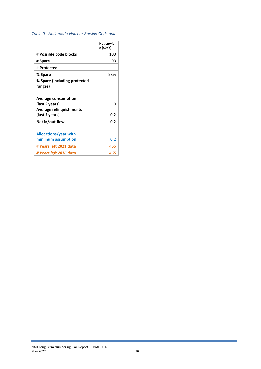#### *Table 9 - Nationwide Number Service Code data*

| <b>Nationwid</b><br>e (50XY) |
|------------------------------|
| 100                          |
| 93                           |
|                              |
| 93%                          |
|                              |
| ŋ                            |
| 0.2                          |
| -0.2                         |
| 0.2                          |
|                              |
| 465<br>465                   |
|                              |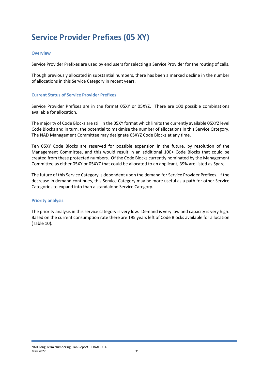# <span id="page-31-0"></span>**Service Provider Prefixes (05 XY)**

#### <span id="page-31-1"></span>**Overview**

Service Provider Prefixes are used by end users for selecting a Service Provider for the routing of calls.

Though previously allocated in substantial numbers, there has been a marked decline in the number of allocations in this Service Category in recent years.

#### <span id="page-31-2"></span>**Current Status of Service Provider Prefixes**

Service Provider Prefixes are in the format 05XY or 05XYZ. There are 100 possible combinations available for allocation.

The majority of Code Blocks are still in the 05XY format which limits the currently available 05XYZ level Code Blocks and in turn, the potential to maximise the number of allocations in this Service Category. The NAD Management Committee may designate 05XYZ Code Blocks at any time.

Ten 05XY Code Blocks are reserved for possible expansion in the future, by resolution of the Management Committee, and this would result in an additional 100+ Code Blocks that could be created from these protected numbers. Of the Code Blocks currently nominated by the Management Committee as either 05XY or 05XYZ that could be allocated to an applicant, 39% are listed as Spare.

The future of this Service Category is dependent upon the demand for Service Provider Prefixes. If the decrease in demand continues, this Service Category may be more useful as a path for other Service Categories to expand into than a standalone Service Category.

#### <span id="page-31-3"></span>**Priority analysis**

The priority analysis in this service category is very low. Demand is very low and capacity is very high. Based on the current consumption rate there are 195 years left of Code Blocks available for allocation (Table 10).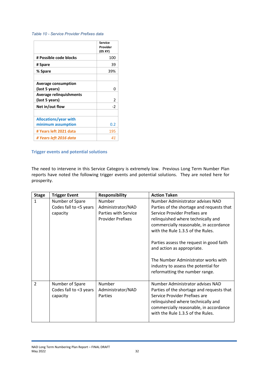#### *Table 10 - Service Provider Prefixes data*

|                                | Service<br>Provider<br>(05 XY) |
|--------------------------------|--------------------------------|
| # Possible code blocks         | 100                            |
| # Spare                        | 39                             |
| % Spare                        | 39%                            |
|                                |                                |
| <b>Average consumption</b>     |                                |
| (last 5 years)                 | n                              |
| <b>Average relinquishments</b> |                                |
| (last 5 years)                 | $\overline{2}$                 |
| Net in/out flow                | -2                             |
|                                |                                |
| <b>Allocations/year with</b>   |                                |
| minimum assumption             | 0.2                            |
| # Years left 2021 data         | 195                            |
| # Years left 2016 data         | 41                             |

#### <span id="page-32-0"></span>**Trigger events and potential solutions**

The need to intervene in this Service Category is extremely low. Previous Long Term Number Plan reports have noted the following trigger events and potential solutions. They are noted here for prosperity.

| <b>Stage</b>   | <b>Trigger Event</b>                                  | <b>Responsibility</b>                                                                  | <b>Action Taken</b>                                                                                                                                                                                                                                                                                                                                                                                                            |
|----------------|-------------------------------------------------------|----------------------------------------------------------------------------------------|--------------------------------------------------------------------------------------------------------------------------------------------------------------------------------------------------------------------------------------------------------------------------------------------------------------------------------------------------------------------------------------------------------------------------------|
| 1              | Number of Spare<br>Codes fall to <5 years<br>capacity | <b>Number</b><br>Administrator/NAD<br>Parties with Service<br><b>Provider Prefixes</b> | Number Administrator advises NAD<br>Parties of the shortage and requests that<br>Service Provider Prefixes are<br>relinquished where technically and<br>commercially reasonable, in accordance<br>with the Rule 1.3.5 of the Rules.<br>Parties assess the request in good faith<br>and action as appropriate.<br>The Number Administrator works with<br>industry to assess the potential for<br>reformatting the number range. |
| $\overline{2}$ | Number of Spare<br>Codes fall to <3 years<br>capacity | Number<br>Administrator/NAD<br>Parties                                                 | Number Administrator advises NAD<br>Parties of the shortage and requests that<br>Service Provider Prefixes are<br>relinquished where technically and<br>commercially reasonable, in accordance<br>with the Rule 1.3.5 of the Rules.                                                                                                                                                                                            |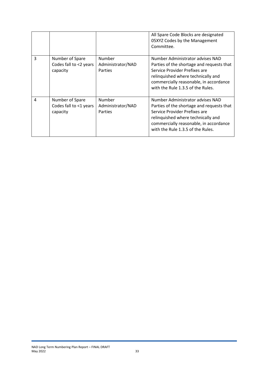|   |                                                       |                                        | All Spare Code Blocks are designated<br>05XYZ Codes by the Management<br>Committee.                                                                                                                                                 |
|---|-------------------------------------------------------|----------------------------------------|-------------------------------------------------------------------------------------------------------------------------------------------------------------------------------------------------------------------------------------|
| 3 | Number of Spare<br>Codes fall to <2 years<br>capacity | Number<br>Administrator/NAD<br>Parties | Number Administrator advises NAD<br>Parties of the shortage and requests that<br>Service Provider Prefixes are<br>relinquished where technically and<br>commercially reasonable, in accordance<br>with the Rule 1.3.5 of the Rules. |
| 4 | Number of Spare<br>Codes fall to <1 years<br>capacity | Number<br>Administrator/NAD<br>Parties | Number Administrator advises NAD<br>Parties of the shortage and requests that<br>Service Provider Prefixes are<br>relinquished where technically and<br>commercially reasonable, in accordance<br>with the Rule 1.3.5 of the Rules. |